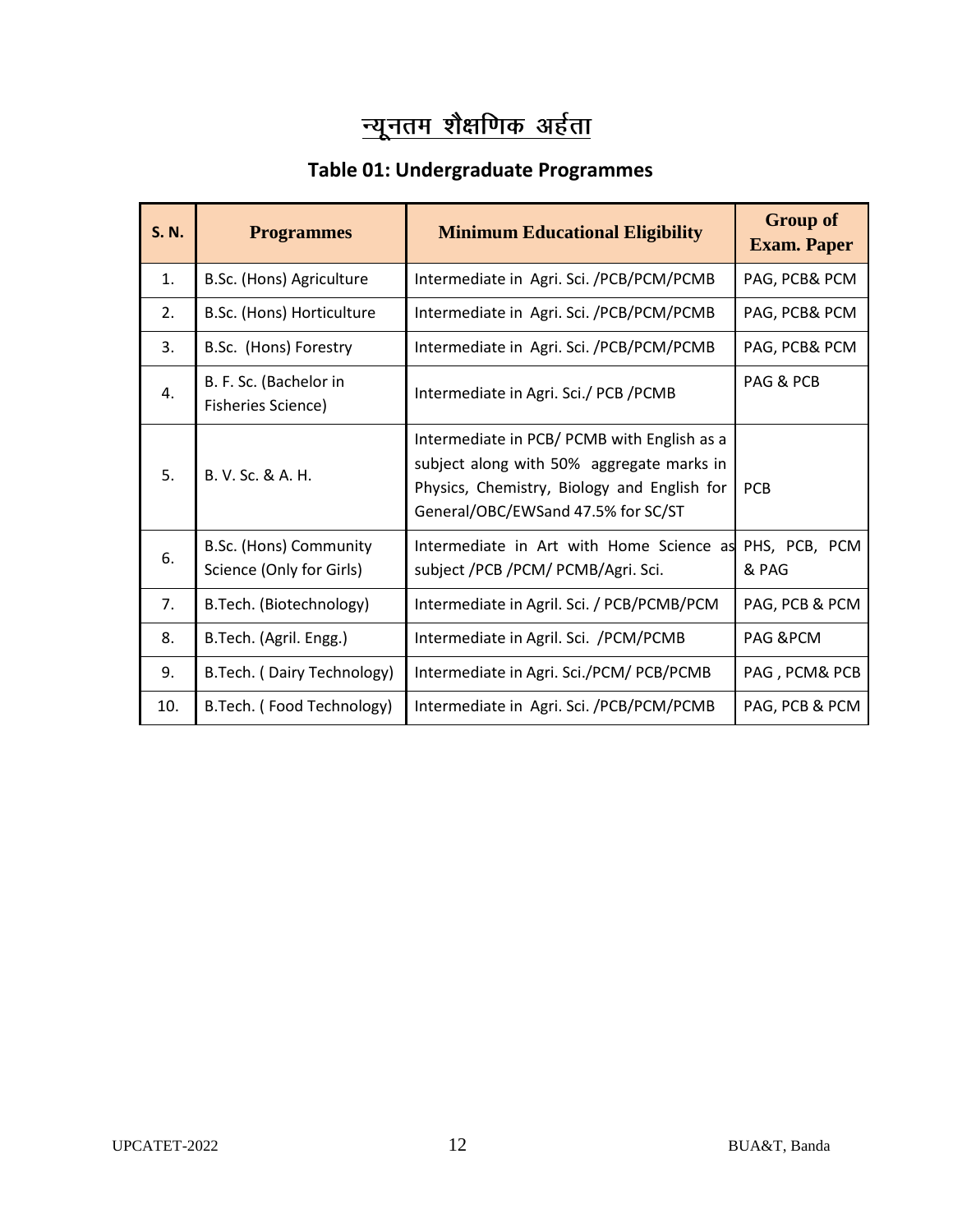# न्यूनतम शैक्षणिक अर्हता

## **Table 01: Undergraduate Programmes**

| S. N. | <b>Programmes</b>                                  | <b>Minimum Educational Eligibility</b>                                                                                                                                        | <b>Group of</b><br><b>Exam. Paper</b> |
|-------|----------------------------------------------------|-------------------------------------------------------------------------------------------------------------------------------------------------------------------------------|---------------------------------------|
| 1.    | B.Sc. (Hons) Agriculture                           | Intermediate in Agri. Sci. /PCB/PCM/PCMB                                                                                                                                      | PAG, PCB& PCM                         |
| 2.    | B.Sc. (Hons) Horticulture                          | Intermediate in Agri. Sci. /PCB/PCM/PCMB                                                                                                                                      | PAG, PCB& PCM                         |
| 3.    | B.Sc. (Hons) Forestry                              | Intermediate in Agri. Sci. /PCB/PCM/PCMB                                                                                                                                      |                                       |
| 4.    | B. F. Sc. (Bachelor in<br>Fisheries Science)       | Intermediate in Agri. Sci./ PCB /PCMB                                                                                                                                         | PAG & PCB                             |
| 5.    | B. V. Sc. & A. H.                                  | Intermediate in PCB/ PCMB with English as a<br>subject along with 50% aggregate marks in<br>Physics, Chemistry, Biology and English for<br>General/OBC/EWSand 47.5% for SC/ST | <b>PCB</b>                            |
| 6.    | B.Sc. (Hons) Community<br>Science (Only for Girls) | Intermediate in Art with Home Science as<br>subject /PCB /PCM/ PCMB/Agri. Sci.                                                                                                | PHS, PCB, PCM<br>& PAG                |
| 7.    | B.Tech. (Biotechnology)                            | Intermediate in Agril. Sci. / PCB/PCMB/PCM                                                                                                                                    | PAG, PCB & PCM                        |
| 8.    | B.Tech. (Agril. Engg.)                             | Intermediate in Agril. Sci. /PCM/PCMB                                                                                                                                         | PAG & PCM                             |
| 9.    | B.Tech. (Dairy Technology)                         | Intermediate in Agri. Sci./PCM/ PCB/PCMB                                                                                                                                      | PAG, PCM& PCB                         |
| 10.   | B.Tech. (Food Technology)                          | Intermediate in Agri. Sci. /PCB/PCM/PCMB                                                                                                                                      | PAG, PCB & PCM                        |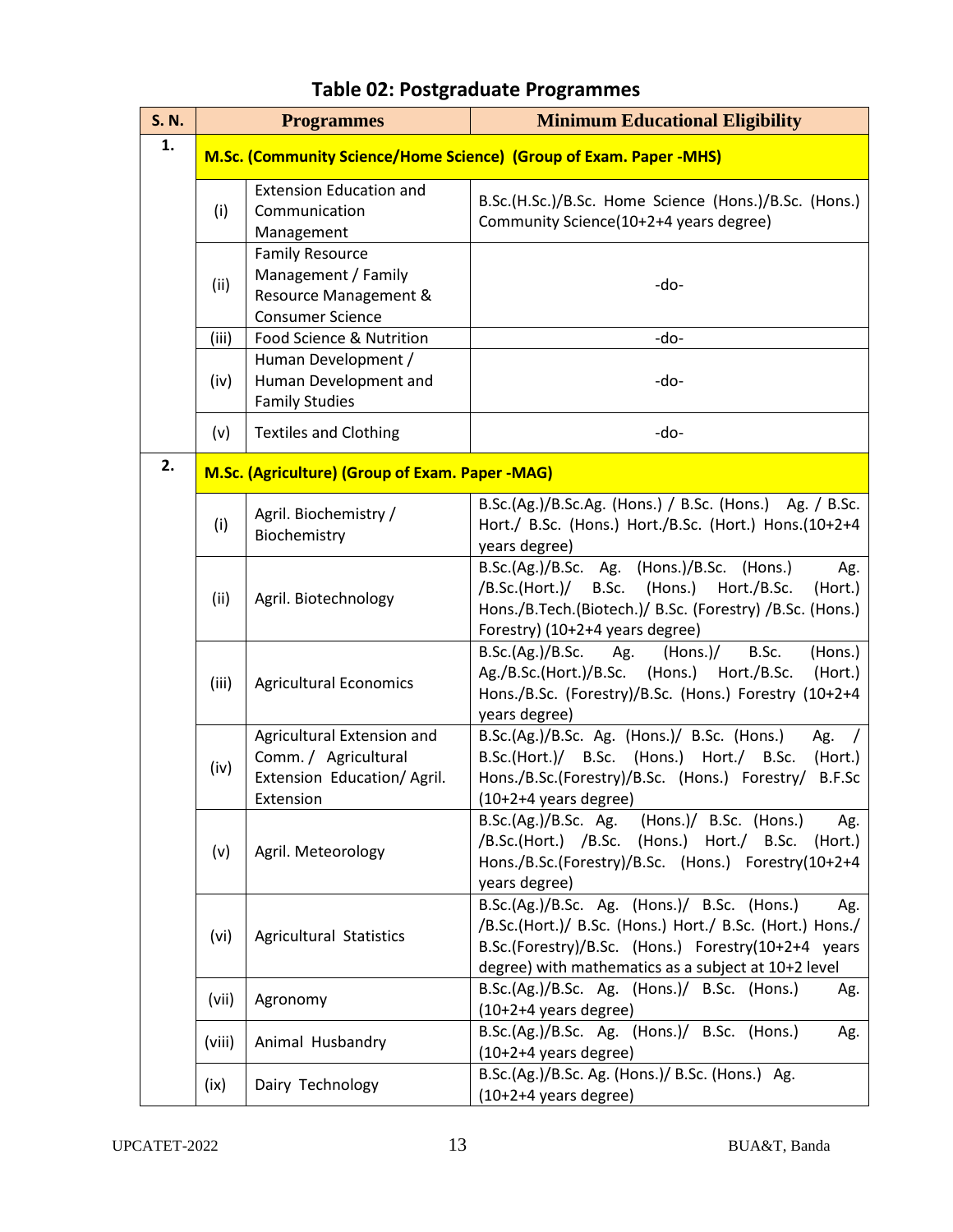| <b>S. N.</b> | <b>Programmes</b>                                                  |                                                                                                   | <b>Minimum Educational Eligibility</b>                                                                                                                                                                                       |
|--------------|--------------------------------------------------------------------|---------------------------------------------------------------------------------------------------|------------------------------------------------------------------------------------------------------------------------------------------------------------------------------------------------------------------------------|
| 1.           | M.Sc. (Community Science/Home Science) (Group of Exam. Paper -MHS) |                                                                                                   |                                                                                                                                                                                                                              |
|              | (i)                                                                | <b>Extension Education and</b><br>Communication<br>Management                                     | B.Sc.(H.Sc.)/B.Sc. Home Science (Hons.)/B.Sc. (Hons.)<br>Community Science(10+2+4 years degree)                                                                                                                              |
|              | (ii)                                                               | <b>Family Resource</b><br>Management / Family<br>Resource Management &<br><b>Consumer Science</b> | -do-                                                                                                                                                                                                                         |
|              | (iii)                                                              | Food Science & Nutrition                                                                          | -do-                                                                                                                                                                                                                         |
|              | (iv)                                                               | Human Development /<br>Human Development and<br><b>Family Studies</b>                             | -do-                                                                                                                                                                                                                         |
|              | (v)                                                                | <b>Textiles and Clothing</b>                                                                      | -do-                                                                                                                                                                                                                         |
| 2.           |                                                                    | M.Sc. (Agriculture) (Group of Exam. Paper -MAG)                                                   |                                                                                                                                                                                                                              |
|              | (i)                                                                | Agril. Biochemistry /<br>Biochemistry                                                             | B.Sc.(Ag.)/B.Sc.Ag. (Hons.) / B.Sc. (Hons.) Ag. / B.Sc.<br>Hort./ B.Sc. (Hons.) Hort./B.Sc. (Hort.) Hons.(10+2+4<br>years degree)                                                                                            |
|              | (ii)                                                               | Agril. Biotechnology                                                                              | B.Sc.(Ag.)/B.Sc. Ag. (Hons.)/B.Sc. (Hons.)<br>Ag.<br>/B.Sc.(Hort.)/ B.Sc. (Hons.) Hort./B.Sc.<br>(Hort.)<br>Hons./B.Tech.(Biotech.)/ B.Sc. (Forestry) /B.Sc. (Hons.)<br>Forestry) (10+2+4 years degree)                      |
|              | (iii)                                                              | <b>Agricultural Economics</b>                                                                     | B.Sc.(Ag.)/B.Sc.<br>B.Sc.<br>(Hons.)<br>(Hons.)/<br>Ag.<br>Ag./B.Sc.(Hort.)/B.Sc.<br>(Hons.) Hort./B.Sc.<br>(Hort.)<br>Hons./B.Sc. (Forestry)/B.Sc. (Hons.) Forestry (10+2+4<br>years degree)                                |
|              | (iv)                                                               | Agricultural Extension and<br>Comm. / Agricultural<br>Extension Education/Agril.<br>Extension     | B.Sc.(Ag.)/B.Sc. Ag. (Hons.)/ B.Sc. (Hons.)<br>Ag.<br>B.Sc.(Hort.)/ B.Sc. (Hons.) Hort./ B.Sc.<br>(Hort.)<br>Hons./B.Sc.(Forestry)/B.Sc. (Hons.) Forestry/<br>B.F.Sc<br>(10+2+4 years degree)                                |
|              | (v)                                                                | Agril. Meteorology                                                                                | B.Sc.(Ag.)/B.Sc. Ag. (Hons.)/ B.Sc. (Hons.)<br>Ag.<br>/B.Sc.(Hort.) /B.Sc. (Hons.) Hort./ B.Sc.<br>(Hort.)<br>Hons./B.Sc.(Forestry)/B.Sc. (Hons.) Forestry(10+2+4<br>years degree)                                           |
|              | (vi)                                                               | Agricultural Statistics                                                                           | B.Sc.(Ag.)/B.Sc. Ag. (Hons.)/ B.Sc. (Hons.)<br>Ag.<br>/B.Sc.(Hort.)/ B.Sc. (Hons.) Hort./ B.Sc. (Hort.) Hons./<br>B.Sc.(Forestry)/B.Sc. (Hons.) Forestry(10+2+4 years<br>degree) with mathematics as a subject at 10+2 level |
|              | (vii)                                                              | Agronomy                                                                                          | B.Sc.(Ag.)/B.Sc. Ag. (Hons.)/ B.Sc. (Hons.)<br>Ag.<br>$(10+2+4$ years degree)                                                                                                                                                |
|              | (viii)                                                             | Animal Husbandry                                                                                  | B.Sc.(Ag.)/B.Sc. Ag. (Hons.)/ B.Sc. (Hons.)<br>Ag.<br>$(10+2+4$ years degree)                                                                                                                                                |
|              | (ix)                                                               | Dairy Technology                                                                                  | B.Sc.(Ag.)/B.Sc. Ag. (Hons.)/ B.Sc. (Hons.) Ag.<br>$(10+2+4$ years degree)                                                                                                                                                   |

# **Table 02: Postgraduate Programmes**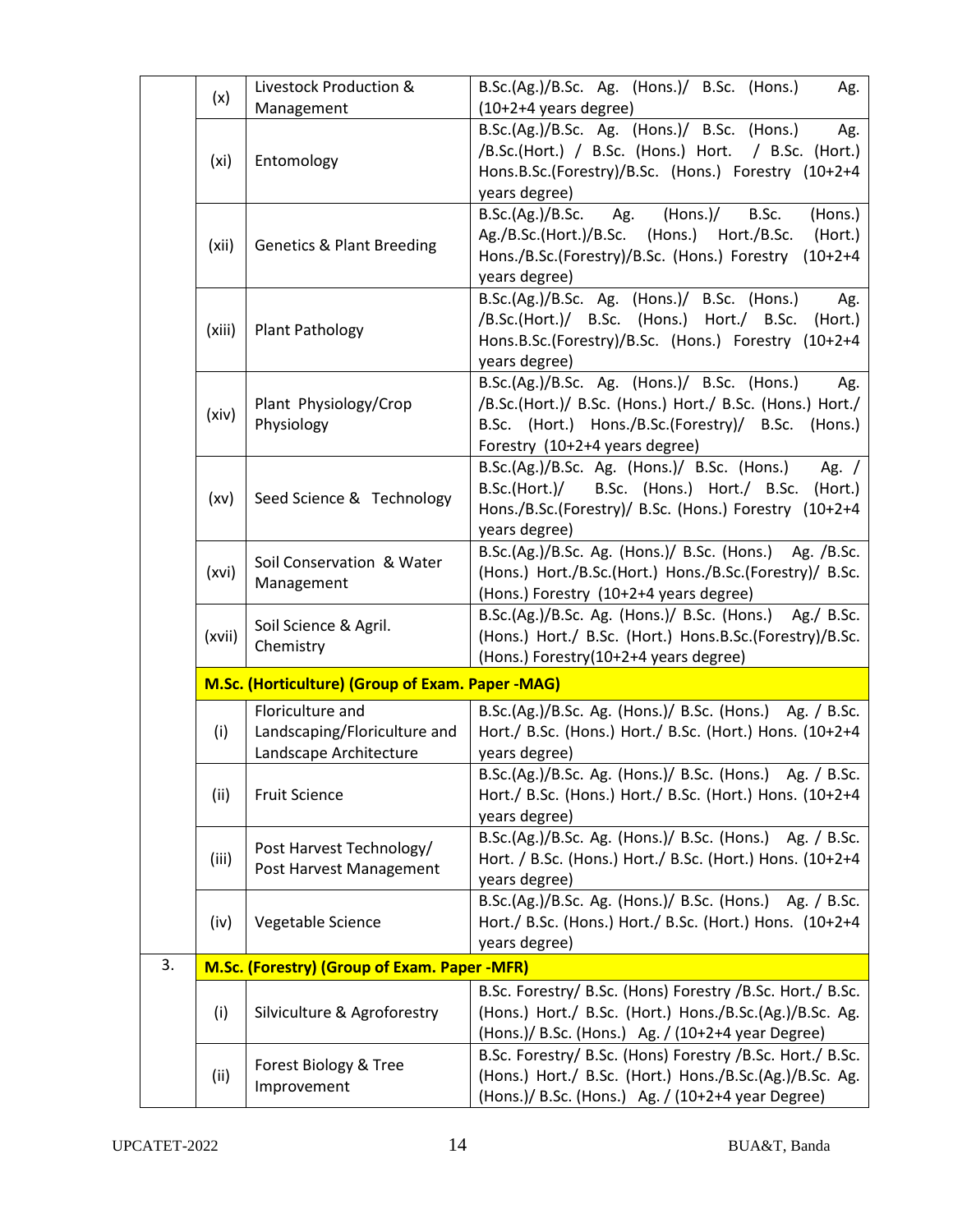|    |                                                  | Livestock Production &                       | B.Sc.(Ag.)/B.Sc. Ag. (Hons.)/ B.Sc. (Hons.)<br>Ag.                                                                |  |  |
|----|--------------------------------------------------|----------------------------------------------|-------------------------------------------------------------------------------------------------------------------|--|--|
|    | (x)                                              | Management                                   | $(10+2+4$ years degree)                                                                                           |  |  |
|    |                                                  |                                              | B.Sc.(Ag.)/B.Sc. Ag. (Hons.)/ B.Sc. (Hons.)<br>Ag.                                                                |  |  |
|    |                                                  |                                              | /B.Sc.(Hort.) / B.Sc. (Hons.) Hort. / B.Sc. (Hort.)                                                               |  |  |
|    | (xi)                                             | Entomology                                   |                                                                                                                   |  |  |
|    |                                                  |                                              | Hons.B.Sc.(Forestry)/B.Sc. (Hons.) Forestry (10+2+4                                                               |  |  |
|    |                                                  |                                              | years degree)                                                                                                     |  |  |
|    |                                                  |                                              | B.Sc.(Ag.)/B.Sc.<br>Ag.<br>(Hons.)/<br>B.Sc.<br>(Hons.)                                                           |  |  |
|    | (xii)                                            | <b>Genetics &amp; Plant Breeding</b>         | Ag./B.Sc.(Hort.)/B.Sc. (Hons.) Hort./B.Sc.<br>(Hort.)                                                             |  |  |
|    |                                                  |                                              | Hons./B.Sc.(Forestry)/B.Sc. (Hons.) Forestry<br>$(10+2+4)$                                                        |  |  |
|    |                                                  |                                              | years degree)                                                                                                     |  |  |
|    |                                                  |                                              | B.Sc.(Ag.)/B.Sc. Ag. (Hons.)/ B.Sc. (Hons.)<br>Ag.                                                                |  |  |
|    | (xiii)                                           | <b>Plant Pathology</b>                       | /B.Sc.(Hort.)/ B.Sc. (Hons.) Hort./ B.Sc.<br>(Hort.)                                                              |  |  |
|    |                                                  |                                              | Hons.B.Sc.(Forestry)/B.Sc. (Hons.) Forestry (10+2+4                                                               |  |  |
|    |                                                  |                                              | years degree)                                                                                                     |  |  |
|    |                                                  |                                              | B.Sc.(Ag.)/B.Sc. Ag. (Hons.)/ B.Sc. (Hons.)<br>Ag.                                                                |  |  |
|    | (xiv)                                            | Plant Physiology/Crop                        | /B.Sc.(Hort.)/ B.Sc. (Hons.) Hort./ B.Sc. (Hons.) Hort./                                                          |  |  |
|    |                                                  | Physiology                                   | B.Sc. (Hort.) Hons./B.Sc.(Forestry)/ B.Sc. (Hons.)                                                                |  |  |
|    |                                                  |                                              | Forestry (10+2+4 years degree)                                                                                    |  |  |
|    |                                                  |                                              | B.Sc.(Ag.)/B.Sc. Ag. (Hons.)/ B.Sc. (Hons.)<br>Ag. $/$                                                            |  |  |
|    | (xv)                                             | Seed Science & Technology                    | B.Sc.(Hort.)/ B.Sc. (Hons.) Hort./ B.Sc.<br>(Hort.)                                                               |  |  |
|    |                                                  |                                              | Hons./B.Sc.(Forestry)/ B.Sc. (Hons.) Forestry (10+2+4                                                             |  |  |
|    |                                                  |                                              | years degree)                                                                                                     |  |  |
|    |                                                  | Soil Conservation & Water<br>Management      | B.Sc.(Ag.)/B.Sc. Ag. (Hons.)/ B.Sc. (Hons.) Ag. /B.Sc.                                                            |  |  |
|    | (xvi)                                            |                                              | (Hons.) Hort./B.Sc.(Hort.) Hons./B.Sc.(Forestry)/ B.Sc.                                                           |  |  |
|    |                                                  |                                              | (Hons.) Forestry (10+2+4 years degree)                                                                            |  |  |
|    |                                                  | Soil Science & Agril.                        | B.Sc.(Ag.)/B.Sc. Ag. (Hons.)/ B.Sc. (Hons.) Ag./ B.Sc.<br>(Hons.) Hort./ B.Sc. (Hort.) Hons.B.Sc.(Forestry)/B.Sc. |  |  |
|    | (xvii)                                           | Chemistry                                    | (Hons.) Forestry(10+2+4 years degree)                                                                             |  |  |
|    |                                                  |                                              |                                                                                                                   |  |  |
|    | M.Sc. (Horticulture) (Group of Exam. Paper -MAG) |                                              |                                                                                                                   |  |  |
|    |                                                  | Floriculture and                             | B.Sc.(Ag.)/B.Sc. Ag. (Hons.)/ B.Sc. (Hons.) Ag. / B.Sc.                                                           |  |  |
|    | (i)                                              | Landscaping/Floriculture and                 | Hort./ B.Sc. (Hons.) Hort./ B.Sc. (Hort.) Hons. (10+2+4                                                           |  |  |
|    |                                                  | Landscape Architecture                       | years degree)                                                                                                     |  |  |
|    |                                                  |                                              | B.Sc.(Ag.)/B.Sc. Ag. (Hons.)/ B.Sc. (Hons.) Ag. / B.Sc.                                                           |  |  |
|    | (ii)                                             | <b>Fruit Science</b>                         | Hort./ B.Sc. (Hons.) Hort./ B.Sc. (Hort.) Hons. (10+2+4                                                           |  |  |
|    |                                                  |                                              | years degree)                                                                                                     |  |  |
|    |                                                  | Post Harvest Technology/                     | B.Sc.(Ag.)/B.Sc. Ag. (Hons.)/ B.Sc. (Hons.) Ag. / B.Sc.                                                           |  |  |
|    | (iii)                                            | Post Harvest Management                      | Hort. / B.Sc. (Hons.) Hort./ B.Sc. (Hort.) Hons. (10+2+4                                                          |  |  |
|    |                                                  |                                              | years degree)                                                                                                     |  |  |
|    |                                                  |                                              | B.Sc.(Ag.)/B.Sc. Ag. (Hons.)/ B.Sc. (Hons.) Ag. / B.Sc.                                                           |  |  |
|    | (iv)                                             | Vegetable Science                            | Hort./ B.Sc. (Hons.) Hort./ B.Sc. (Hort.) Hons. (10+2+4                                                           |  |  |
|    |                                                  |                                              | years degree)                                                                                                     |  |  |
| 3. |                                                  | M.Sc. (Forestry) (Group of Exam. Paper -MFR) |                                                                                                                   |  |  |
|    |                                                  |                                              | B.Sc. Forestry/ B.Sc. (Hons) Forestry / B.Sc. Hort./ B.Sc.                                                        |  |  |
|    | (i)                                              | Silviculture & Agroforestry                  | (Hons.) Hort./ B.Sc. (Hort.) Hons./B.Sc.(Ag.)/B.Sc. Ag.                                                           |  |  |
|    |                                                  |                                              | (Hons.)/ B.Sc. (Hons.) Ag. / (10+2+4 year Degree)                                                                 |  |  |
|    | (ii)                                             | Forest Biology & Tree                        | B.Sc. Forestry/ B.Sc. (Hons) Forestry / B.Sc. Hort./ B.Sc.                                                        |  |  |
|    |                                                  | Improvement                                  | (Hons.) Hort./ B.Sc. (Hort.) Hons./B.Sc.(Ag.)/B.Sc. Ag.                                                           |  |  |
|    |                                                  |                                              | (Hons.)/ B.Sc. (Hons.) Ag. / (10+2+4 year Degree)                                                                 |  |  |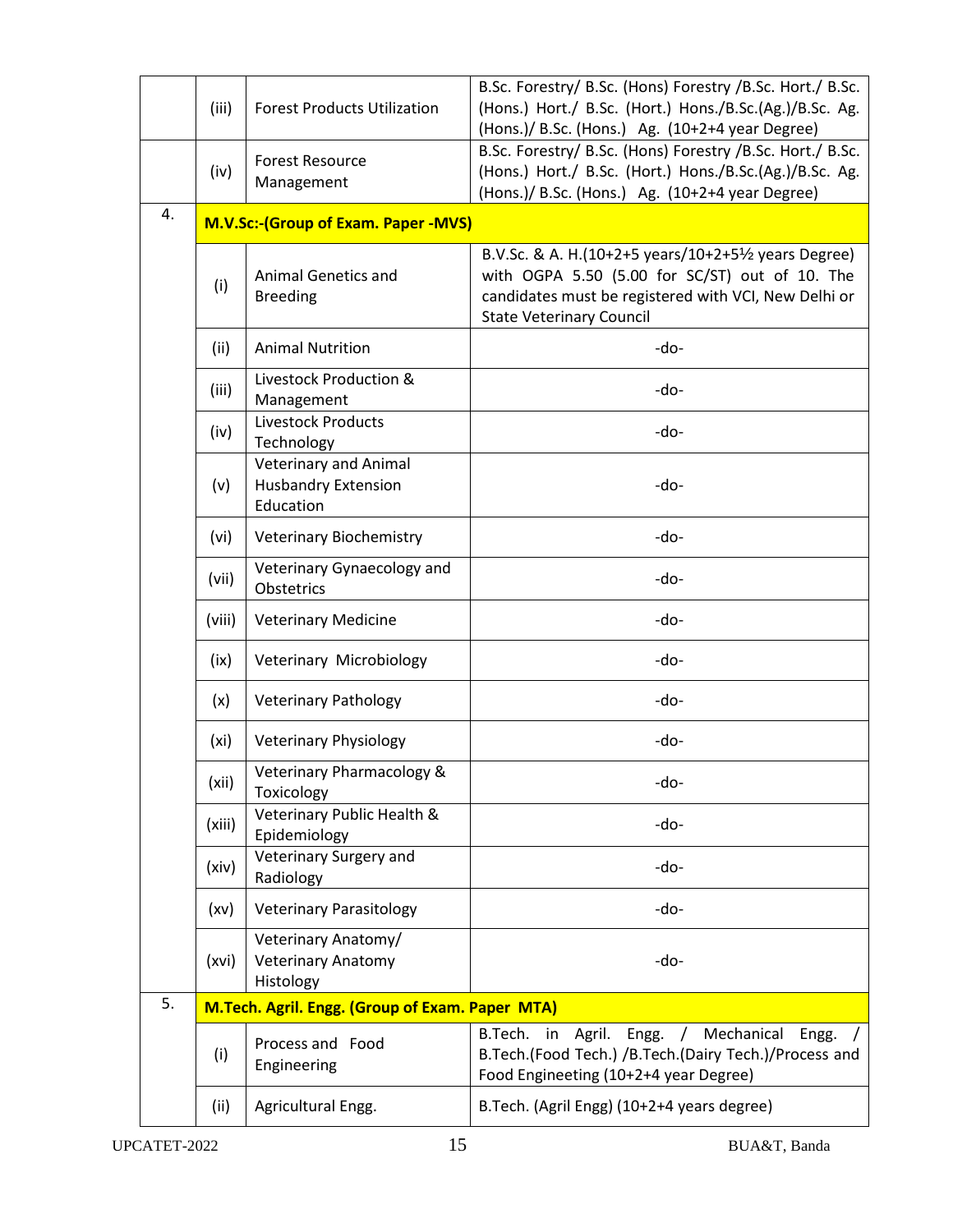|                                                       | (iii)  | <b>Forest Products Utilization</b>                                      | B.Sc. Forestry/ B.Sc. (Hons) Forestry /B.Sc. Hort./ B.Sc.<br>(Hons.) Hort./ B.Sc. (Hort.) Hons./B.Sc.(Ag.)/B.Sc. Ag.<br>(Hons.)/ B.Sc. (Hons.) Ag. (10+2+4 year Degree)                           |
|-------------------------------------------------------|--------|-------------------------------------------------------------------------|---------------------------------------------------------------------------------------------------------------------------------------------------------------------------------------------------|
|                                                       | (iv)   | <b>Forest Resource</b><br>Management                                    | B.Sc. Forestry/ B.Sc. (Hons) Forestry /B.Sc. Hort./ B.Sc.<br>(Hons.) Hort./ B.Sc. (Hort.) Hons./B.Sc.(Ag.)/B.Sc. Ag.<br>(Hons.)/ B.Sc. (Hons.) Ag. (10+2+4 year Degree)                           |
| 4.                                                    |        | <b>M.V.Sc:- (Group of Exam. Paper - MVS)</b>                            |                                                                                                                                                                                                   |
|                                                       | (i)    | <b>Animal Genetics and</b><br><b>Breeding</b>                           | B.V.Sc. & A. H.(10+2+5 years/10+2+51/2 years Degree)<br>with OGPA 5.50 (5.00 for SC/ST) out of 10. The<br>candidates must be registered with VCI, New Delhi or<br><b>State Veterinary Council</b> |
|                                                       | (ii)   | <b>Animal Nutrition</b>                                                 | -do-                                                                                                                                                                                              |
|                                                       | (iii)  | Livestock Production &<br>Management                                    | -do-                                                                                                                                                                                              |
|                                                       | (iv)   | Livestock Products<br>Technology                                        | -do-                                                                                                                                                                                              |
|                                                       | (v)    | <b>Veterinary and Animal</b><br><b>Husbandry Extension</b><br>Education | -do-                                                                                                                                                                                              |
|                                                       | (vi)   | <b>Veterinary Biochemistry</b>                                          | -do-                                                                                                                                                                                              |
|                                                       | (vii)  | Veterinary Gynaecology and<br>Obstetrics                                | -do-                                                                                                                                                                                              |
|                                                       | (viii) | <b>Veterinary Medicine</b>                                              | -do-                                                                                                                                                                                              |
|                                                       | (ix)   | Veterinary Microbiology                                                 | -do-                                                                                                                                                                                              |
|                                                       | (x)    | <b>Veterinary Pathology</b>                                             | -do-                                                                                                                                                                                              |
|                                                       | (xi)   | <b>Veterinary Physiology</b>                                            | -do-                                                                                                                                                                                              |
|                                                       | (xii)  | Veterinary Pharmacology &<br>Toxicology                                 | -do-                                                                                                                                                                                              |
|                                                       | (xiii) | Veterinary Public Health &<br>Epidemiology                              | -do-                                                                                                                                                                                              |
|                                                       | (xiv)  | Veterinary Surgery and<br>Radiology                                     | -do-                                                                                                                                                                                              |
|                                                       | (xv)   | <b>Veterinary Parasitology</b>                                          | -do-                                                                                                                                                                                              |
|                                                       | (xvi)  | Veterinary Anatomy/<br><b>Veterinary Anatomy</b><br>Histology           | -do-                                                                                                                                                                                              |
| 5.<br>M.Tech. Agril. Engg. (Group of Exam. Paper MTA) |        |                                                                         |                                                                                                                                                                                                   |
|                                                       | (i)    | Process and Food<br>Engineering                                         | Mechanical Engg.<br>B.Tech. in<br>Agril. Engg. /<br>B.Tech.(Food Tech.) /B.Tech.(Dairy Tech.)/Process and<br>Food Engineeting (10+2+4 year Degree)                                                |
|                                                       | (ii)   | Agricultural Engg.                                                      | B.Tech. (Agril Engg) (10+2+4 years degree)                                                                                                                                                        |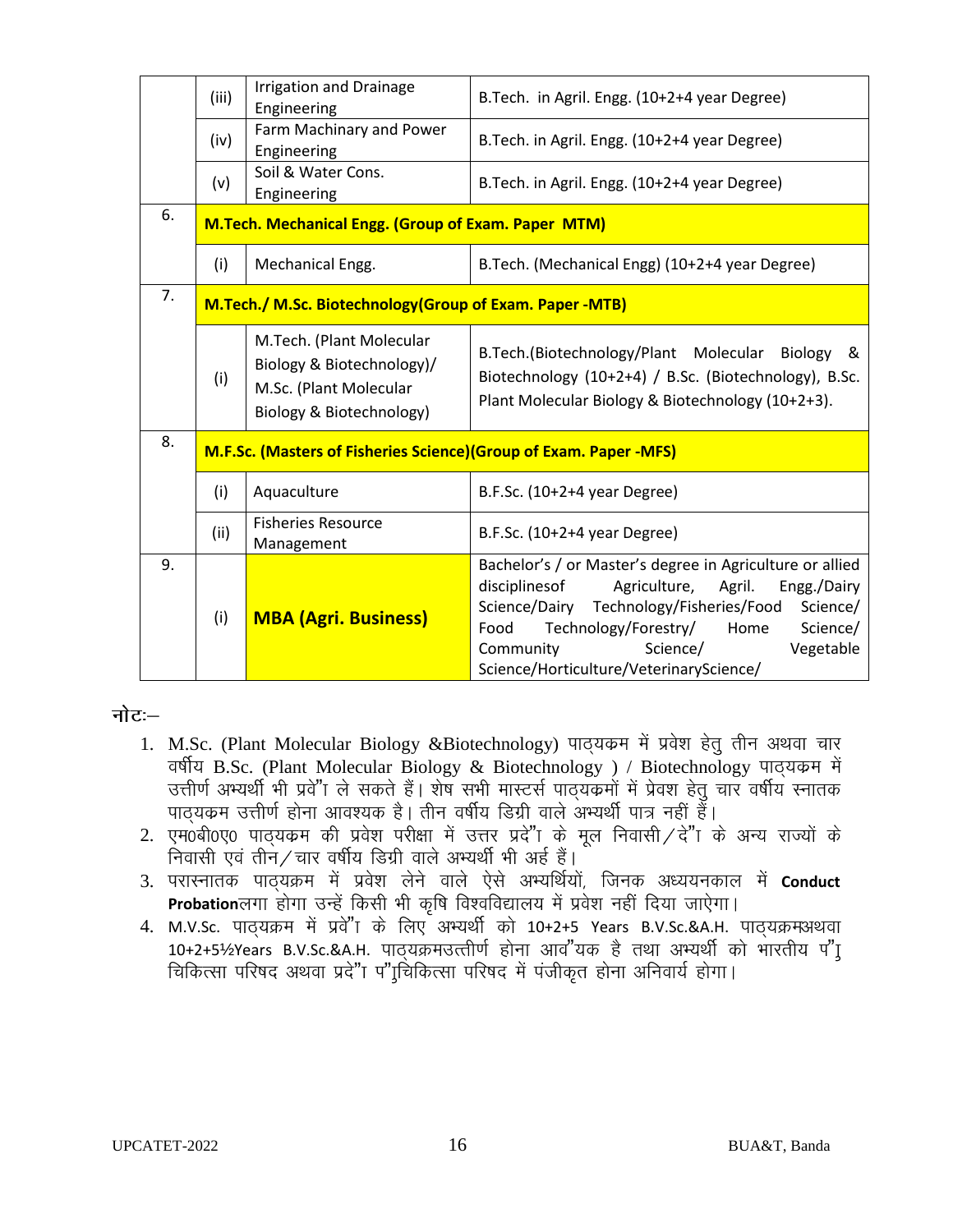|    | (iii)                                                   | <b>Irrigation and Drainage</b><br>Engineering                                                               | B.Tech. in Agril. Engg. (10+2+4 year Degree)                                                                                                                                                                                                                                                                 |
|----|---------------------------------------------------------|-------------------------------------------------------------------------------------------------------------|--------------------------------------------------------------------------------------------------------------------------------------------------------------------------------------------------------------------------------------------------------------------------------------------------------------|
|    | (iv)                                                    | Farm Machinary and Power<br>Engineering                                                                     | B. Tech. in Agril. Engg. (10+2+4 year Degree)                                                                                                                                                                                                                                                                |
|    | (v)                                                     | Soil & Water Cons.<br>Engineering                                                                           | B. Tech. in Agril. Engg. (10+2+4 year Degree)                                                                                                                                                                                                                                                                |
| 6. | M.Tech. Mechanical Engg. (Group of Exam. Paper MTM)     |                                                                                                             |                                                                                                                                                                                                                                                                                                              |
|    | (i)                                                     | Mechanical Engg.                                                                                            | B.Tech. (Mechanical Engg) (10+2+4 year Degree)                                                                                                                                                                                                                                                               |
| 7. | M.Tech./ M.Sc. Biotechnology(Group of Exam. Paper -MTB) |                                                                                                             |                                                                                                                                                                                                                                                                                                              |
|    | (i)                                                     | M.Tech. (Plant Molecular<br>Biology & Biotechnology)/<br>M.Sc. (Plant Molecular<br>Biology & Biotechnology) | B.Tech.(Biotechnology/Plant Molecular<br>Biology &<br>Biotechnology (10+2+4) / B.Sc. (Biotechnology), B.Sc.<br>Plant Molecular Biology & Biotechnology (10+2+3).                                                                                                                                             |
| 8. |                                                         | M.F.Sc. (Masters of Fisheries Science) (Group of Exam. Paper -MFS)                                          |                                                                                                                                                                                                                                                                                                              |
|    | (i)                                                     | Aquaculture                                                                                                 | B.F.Sc. $(10+2+4$ year Degree)                                                                                                                                                                                                                                                                               |
|    | (ii)                                                    | <b>Fisheries Resource</b><br>Management                                                                     | B.F.Sc. (10+2+4 year Degree)                                                                                                                                                                                                                                                                                 |
| 9. | (i)                                                     | <b>MBA (Agri. Business)</b>                                                                                 | Bachelor's / or Master's degree in Agriculture or allied<br>disciplines of<br>Agriculture, Agril.<br>Engg./Dairy<br>Science/Dairy Technology/Fisheries/Food<br>Science/<br>Technology/Forestry/<br>Science/<br>Food<br>Home<br>Science/<br>Community<br>Vegetable<br>Science/Horticulture/VeterinaryScience/ |

#### नोटः—

- 1. M.Sc. (Plant Molecular Biology &Biotechnology) पाठ्यकम में प्रवेश हेतु तीन अथवा चार B.Sc. (Plant Molecular Biology & Biotechnology ) / Biotechnology उत्तीर्ण अभ्यर्थी भी प्रवे"ा ले सकते हैं। शेष सभी मास्टर्स पाठ्यकमों में प्रेवश हेतु चार वर्षीय स्नातक<br>पाठ्यकम उत्तीर्ण होना आवश्यक है। तीन वर्षीय डिग्री वाले अभ्यर्थी पात्र नहीं हैं।
- 2. एम0बी0ए0 पाठयक्रम की प्रवेश परीक्षा में उत्तर प्रदे"ा के मूल निवासी / दे"ा के अन्य राज्यों के निवासी एवं तीन / चार वर्षीय डिग्री वाले अभ्यर्थी भी अर्ह हैं।
- 3. परास्नातक पाठ्यक्रम में प्रवेश लेने वाले ऐसे अभ्यर्थियों, जिनक अध्ययनकाल में **Conduct** Probationलगा होगा उन्हें किसी भी कृषि विश्वविद्यालय में प्रवेश नहीं दिया जाऐगा।
- 4. M.V.Sc. पाठ्यक्रम में प्रवे"ा के लिए अभ्यर्थी को 10+2+5 Years B.V.Sc.&A.H. पाठ्यक्रमअथवा 10+2+5½Years B.V.Sc.&A.H. पाठ्यक्रमउत्तीर्ण होना आव"यक है तथा अभ्यर्थी को भारतीय प"I चिकित्सा परिषद अथवा प्रदे"ा प"[चिकित्सा परिषद में पंजीकृत होना अनिवार्य होगा।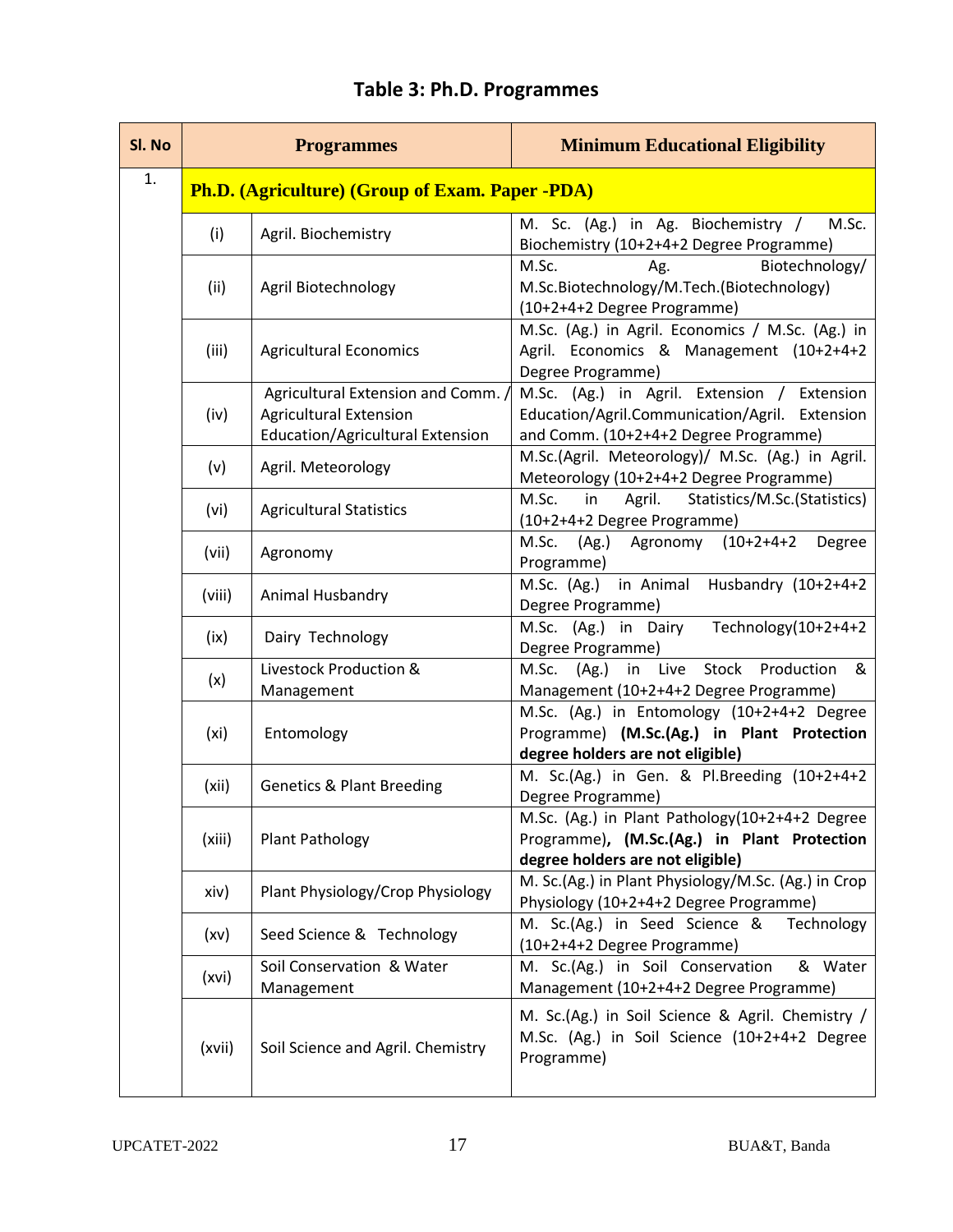| SI. No | <b>Programmes</b> |                                                                                                                | <b>Minimum Educational Eligibility</b>                                                                                                 |
|--------|-------------------|----------------------------------------------------------------------------------------------------------------|----------------------------------------------------------------------------------------------------------------------------------------|
| 1.     |                   | <b>Ph.D.</b> (Agriculture) (Group of Exam. Paper -PDA)                                                         |                                                                                                                                        |
|        | (i)               | Agril. Biochemistry                                                                                            | M. Sc. (Ag.) in Ag. Biochemistry /<br>M.Sc.<br>Biochemistry (10+2+4+2 Degree Programme)                                                |
|        | (ii)              | Agril Biotechnology                                                                                            | Biotechnology/<br>M.Sc.<br>Ag.<br>M.Sc.Biotechnology/M.Tech.(Biotechnology)<br>(10+2+4+2 Degree Programme)                             |
|        | (iii)             | <b>Agricultural Economics</b>                                                                                  | M.Sc. (Ag.) in Agril. Economics / M.Sc. (Ag.) in<br>Agril. Economics & Management (10+2+4+2<br>Degree Programme)                       |
|        | (iv)              | Agricultural Extension and Comm. /<br><b>Agricultural Extension</b><br><b>Education/Agricultural Extension</b> | M.Sc. (Ag.) in Agril. Extension / Extension<br>Education/Agril.Communication/Agril. Extension<br>and Comm. (10+2+4+2 Degree Programme) |
|        | (v)               | Agril. Meteorology                                                                                             | M.Sc.(Agril. Meteorology)/ M.Sc. (Ag.) in Agril.<br>Meteorology (10+2+4+2 Degree Programme)                                            |
|        | (vi)              | <b>Agricultural Statistics</b>                                                                                 | M.Sc.<br>Agril.<br>Statistics/M.Sc.(Statistics)<br>in<br>(10+2+4+2 Degree Programme)                                                   |
|        | (vii)             | Agronomy                                                                                                       | M.Sc.<br>(Ag.) Agronomy (10+2+4+2<br>Degree<br>Programme)                                                                              |
|        | (viii)            | Animal Husbandry                                                                                               | M.Sc. (Ag.) in Animal<br>Husbandry (10+2+4+2<br>Degree Programme)                                                                      |
|        | (ix)              | Dairy Technology                                                                                               | Technology(10+2+4+2<br>M.Sc. (Ag.) in Dairy<br>Degree Programme)                                                                       |
|        | (x)               | Livestock Production &<br>Management                                                                           | M.Sc. (Ag.) in Live Stock Production<br>&<br>Management (10+2+4+2 Degree Programme)                                                    |
|        | (xi)              | Entomology                                                                                                     | M.Sc. (Ag.) in Entomology (10+2+4+2 Degree<br>Programme) (M.Sc.(Ag.) in Plant Protection<br>degree holders are not eligible)           |
|        | (xii)             | <b>Genetics &amp; Plant Breeding</b>                                                                           | M. Sc.(Ag.) in Gen. & Pl.Breeding (10+2+4+2<br>Degree Programme)                                                                       |
|        | (xiii)            | Plant Pathology                                                                                                | M.Sc. (Ag.) in Plant Pathology(10+2+4+2 Degree<br>Programme), (M.Sc.(Ag.) in Plant Protection<br>degree holders are not eligible)      |
|        | xiv)              | Plant Physiology/Crop Physiology                                                                               | M. Sc.(Ag.) in Plant Physiology/M.Sc. (Ag.) in Crop<br>Physiology (10+2+4+2 Degree Programme)                                          |
|        | (xv)              | Seed Science & Technology                                                                                      | M. Sc.(Ag.) in Seed Science &<br>Technology<br>(10+2+4+2 Degree Programme)                                                             |
|        | (xvi)             | Soil Conservation & Water<br>Management                                                                        | M. Sc.(Ag.) in Soil Conservation<br>& Water<br>Management (10+2+4+2 Degree Programme)                                                  |
|        | (xvii)            | Soil Science and Agril. Chemistry                                                                              | M. Sc.(Ag.) in Soil Science & Agril. Chemistry /<br>M.Sc. (Ag.) in Soil Science (10+2+4+2 Degree<br>Programme)                         |

## **Table 3: Ph.D. Programmes**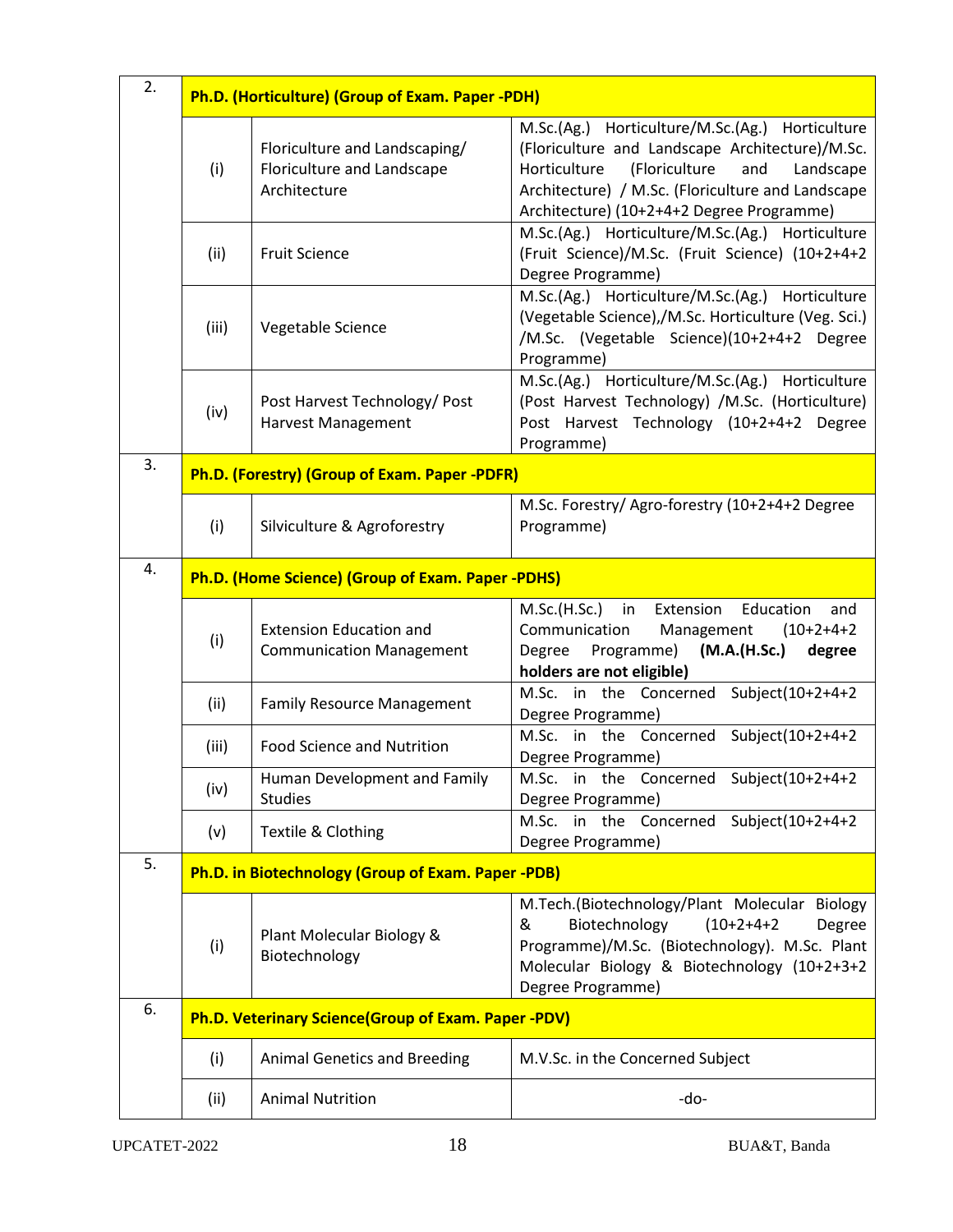| 2. | Ph.D. (Horticulture) (Group of Exam. Paper -PDH)  |                                                                             |                                                                                                                                                                                                                                                           |  |
|----|---------------------------------------------------|-----------------------------------------------------------------------------|-----------------------------------------------------------------------------------------------------------------------------------------------------------------------------------------------------------------------------------------------------------|--|
|    | (i)                                               | Floriculture and Landscaping/<br>Floriculture and Landscape<br>Architecture | M.Sc.(Ag.) Horticulture/M.Sc.(Ag.) Horticulture<br>(Floriculture and Landscape Architecture)/M.Sc.<br>(Floriculture<br>and<br>Horticulture<br>Landscape<br>Architecture) / M.Sc. (Floriculture and Landscape<br>Architecture) (10+2+4+2 Degree Programme) |  |
|    | (ii)                                              | <b>Fruit Science</b>                                                        | M.Sc.(Ag.) Horticulture/M.Sc.(Ag.) Horticulture<br>(Fruit Science)/M.Sc. (Fruit Science) (10+2+4+2<br>Degree Programme)                                                                                                                                   |  |
|    | (iii)                                             | Vegetable Science                                                           | M.Sc.(Ag.) Horticulture/M.Sc.(Ag.) Horticulture<br>(Vegetable Science),/M.Sc. Horticulture (Veg. Sci.)<br>/M.Sc. (Vegetable Science)(10+2+4+2 Degree<br>Programme)                                                                                        |  |
|    | (iv)                                              | Post Harvest Technology/ Post<br><b>Harvest Management</b>                  | M.Sc.(Ag.) Horticulture/M.Sc.(Ag.) Horticulture<br>(Post Harvest Technology) /M.Sc. (Horticulture)<br>Post Harvest Technology (10+2+4+2 Degree<br>Programme)                                                                                              |  |
| 3. | Ph.D. (Forestry) (Group of Exam. Paper -PDFR)     |                                                                             |                                                                                                                                                                                                                                                           |  |
|    | (i)                                               | Silviculture & Agroforestry                                                 | M.Sc. Forestry/ Agro-forestry (10+2+4+2 Degree<br>Programme)                                                                                                                                                                                              |  |
| 4. | Ph.D. (Home Science) (Group of Exam. Paper -PDHS) |                                                                             |                                                                                                                                                                                                                                                           |  |
|    | (i)                                               | <b>Extension Education and</b><br><b>Communication Management</b>           | M.Sc.(H.Sc.) in Extension<br>Education<br>and<br>Communication<br>Management<br>$(10+2+4+2)$<br>Programme)<br>(M.A.(H.Sc.)<br>Degree<br>degree<br>holders are not eligible)                                                                               |  |
|    | (ii)                                              | <b>Family Resource Management</b>                                           | M.Sc. in the Concerned Subject(10+2+4+2<br>Degree Programme)                                                                                                                                                                                              |  |
|    | (iii)                                             | <b>Food Science and Nutrition</b>                                           | M.Sc. in the Concerned Subject(10+2+4+2<br>Degree Programme)                                                                                                                                                                                              |  |
|    | (iv)                                              | Human Development and Family<br><b>Studies</b>                              | M.Sc. in the Concerned Subject(10+2+4+2<br>Degree Programme)                                                                                                                                                                                              |  |
|    | (v)                                               | Textile & Clothing                                                          | in the Concerned Subject(10+2+4+2<br>M.Sc.<br>Degree Programme)                                                                                                                                                                                           |  |
| 5. |                                                   | Ph.D. in Biotechnology (Group of Exam. Paper -PDB)                          |                                                                                                                                                                                                                                                           |  |
|    | (i)                                               | Plant Molecular Biology &<br>Biotechnology                                  | M.Tech.(Biotechnology/Plant Molecular Biology<br>Biotechnology<br>$(10+2+4+2)$<br>&<br>Degree<br>Programme)/M.Sc. (Biotechnology). M.Sc. Plant<br>Molecular Biology & Biotechnology (10+2+3+2<br>Degree Programme)                                        |  |
| 6. |                                                   | Ph.D. Veterinary Science(Group of Exam. Paper -PDV)                         |                                                                                                                                                                                                                                                           |  |
|    | (i)                                               | <b>Animal Genetics and Breeding</b>                                         | M.V.Sc. in the Concerned Subject                                                                                                                                                                                                                          |  |
|    | (ii)                                              | <b>Animal Nutrition</b>                                                     | -do-                                                                                                                                                                                                                                                      |  |